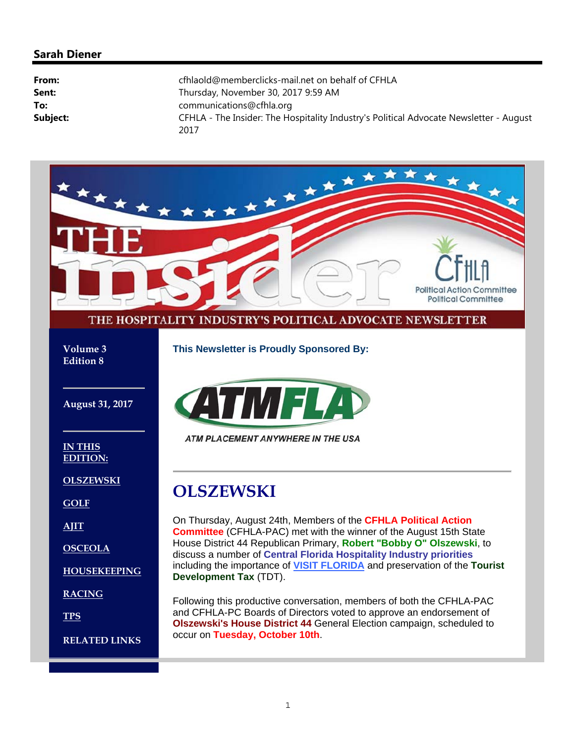#### **Sarah Diener**

| From:    | cfhlaold@memberclicks-mail.net on behalf of CFHLA                                              |
|----------|------------------------------------------------------------------------------------------------|
| Sent:    | Thursday, November 30, 2017 9:59 AM                                                            |
| To:      | communications@cfhla.org                                                                       |
| Subject: | CFHLA - The Insider: The Hospitality Industry's Political Advocate Newsletter - August<br>2017 |

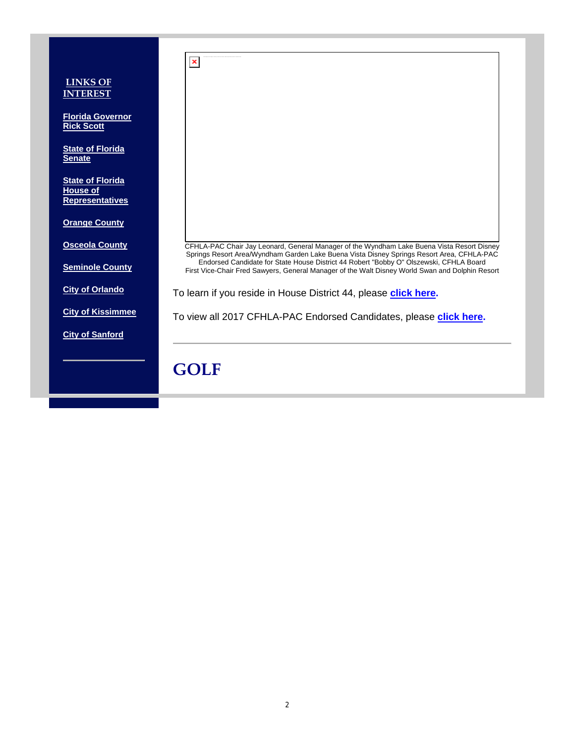|                                                                      | $\pmb{\times}$                                                                                                                                                                            |
|----------------------------------------------------------------------|-------------------------------------------------------------------------------------------------------------------------------------------------------------------------------------------|
| <b>LINKS OF</b><br><b>INTEREST</b>                                   |                                                                                                                                                                                           |
| <b>Florida Governor</b><br><b>Rick Scott</b>                         |                                                                                                                                                                                           |
| <b>State of Florida</b><br><b>Senate</b>                             |                                                                                                                                                                                           |
| <b>State of Florida</b><br><b>House of</b><br><b>Representatives</b> |                                                                                                                                                                                           |
| <b>Orange County</b>                                                 |                                                                                                                                                                                           |
| <b>Osceola County</b>                                                | CFHLA-PAC Chair Jay Leonard, General Manager of the Wyndham Lake Buena Vista Resort Disney<br>Springs Resort Area/Wyndham Garden Lake Buena Vista Disney Springs Resort Area, CFHLA-PAC   |
| <b>Seminole County</b>                                               | Endorsed Candidate for State House District 44 Robert "Bobby O" Olszewski, CFHLA Board<br>First Vice-Chair Fred Sawyers, General Manager of the Walt Disney World Swan and Dolphin Resort |
| <b>City of Orlando</b>                                               | To learn if you reside in House District 44, please click here.                                                                                                                           |
| <b>City of Kissimmee</b>                                             | To view all 2017 CFHLA-PAC Endorsed Candidates, please click here.                                                                                                                        |
| <b>City of Sanford</b>                                               |                                                                                                                                                                                           |
|                                                                      | <b>GOLF</b>                                                                                                                                                                               |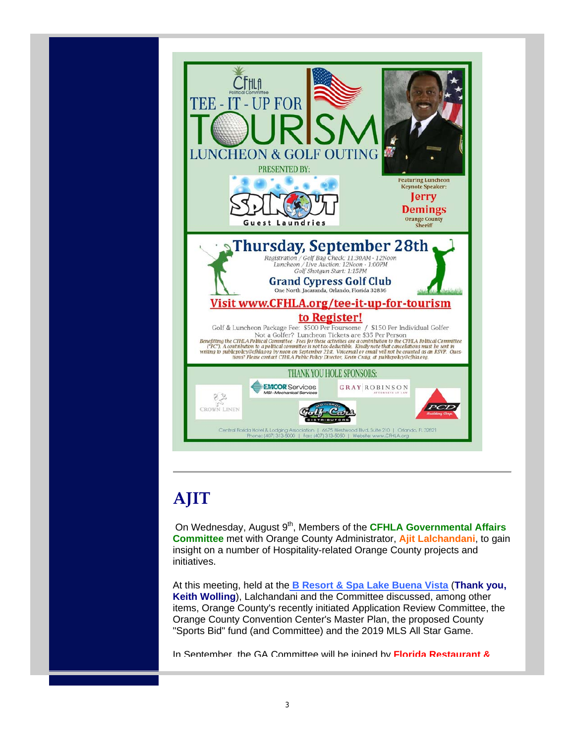

# **AJIT**

On Wednesday, August 9<sup>th</sup>, Members of the **CFHLA Governmental Affairs Committee** met with Orange County Administrator, **Ajit Lalchandani**, to gain insight on a number of Hospitality-related Orange County projects and initiatives.

At this meeting, held at the **B Resort & Spa Lake Buena Vista** (**Thank you, Keith Wolling**), Lalchandani and the Committee discussed, among other items, Orange County's recently initiated Application Review Committee, the Orange County Convention Center's Master Plan, the proposed County "Sports Bid" fund (and Committee) and the 2019 MLS All Star Game.

In September, the GA Committee will be joined by **Florida Restaurant &**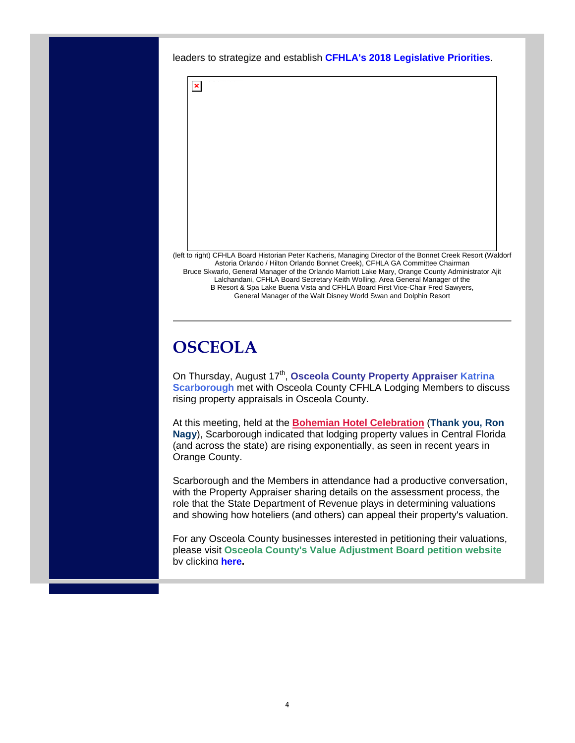leaders to strategize and establish **CFHLA's 2018 Legislative Priorities**.



(left to right) CFHLA Board Historian Peter Kacheris, Managing Director of the Bonnet Creek Resort (Waldorf Astoria Orlando / Hilton Orlando Bonnet Creek), CFHLA GA Committee Chairman Bruce Skwarlo, General Manager of the Orlando Marriott Lake Mary, Orange County Administrator Ajit Lalchandani, CFHLA Board Secretary Keith Wolling, Area General Manager of the B Resort & Spa Lake Buena Vista and CFHLA Board First Vice-Chair Fred Sawyers, General Manager of the Walt Disney World Swan and Dolphin Resort

## **OSCEOLA**

On Thursday, August 17<sup>th</sup>, Osceola County Property Appraiser Katrina **Scarborough** met with Osceola County CFHLA Lodging Members to discuss rising property appraisals in Osceola County.

At this meeting, held at the **Bohemian Hotel Celebration** (**Thank you, Ron Nagy**), Scarborough indicated that lodging property values in Central Florida (and across the state) are rising exponentially, as seen in recent years in Orange County.

Scarborough and the Members in attendance had a productive conversation, with the Property Appraiser sharing details on the assessment process, the role that the State Department of Revenue plays in determining valuations and showing how hoteliers (and others) can appeal their property's valuation.

For any Osceola County businesses interested in petitioning their valuations, please visit **Osceola County's Value Adjustment Board petition website** by clicking **here.**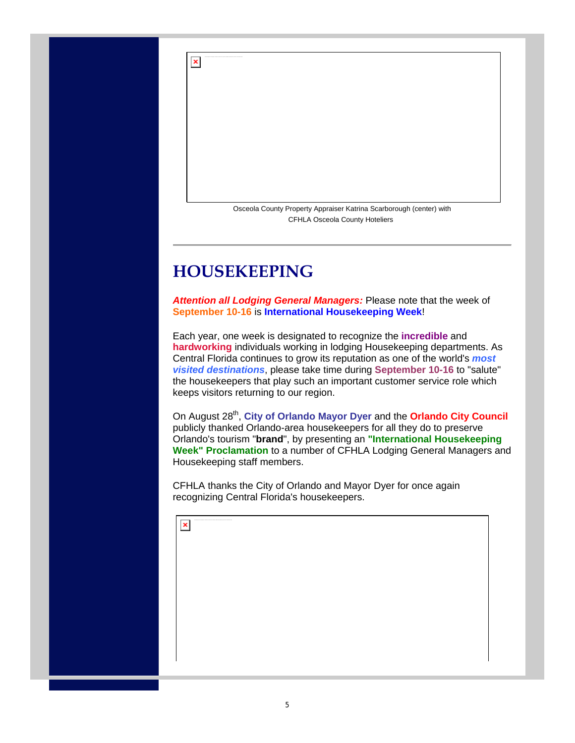Osceola County Property Appraiser Katrina Scarborough (center) with CFHLA Osceola County Hoteliers

## **HOUSEKEEPING**

 $\pmb{\times}$ 

*Attention all Lodging General Managers:* Please note that the week of **September 10-16** is **International Housekeeping Week**!

Each year, one week is designated to recognize the **incredible** and **hardworking** individuals working in lodging Housekeeping departments. As Central Florida continues to grow its reputation as one of the world's *most visited destinations*, please take time during **September 10-16** to "salute" the housekeepers that play such an important customer service role which keeps visitors returning to our region.

On August 28<sup>th</sup>, City of Orlando Mayor Dyer and the Orlando City Council publicly thanked Orlando-area housekeepers for all they do to preserve Orlando's tourism "**brand**", by presenting an **"International Housekeeping Week" Proclamation** to a number of CFHLA Lodging General Managers and Housekeeping staff members.

CFHLA thanks the City of Orlando and Mayor Dyer for once again recognizing Central Florida's housekeepers.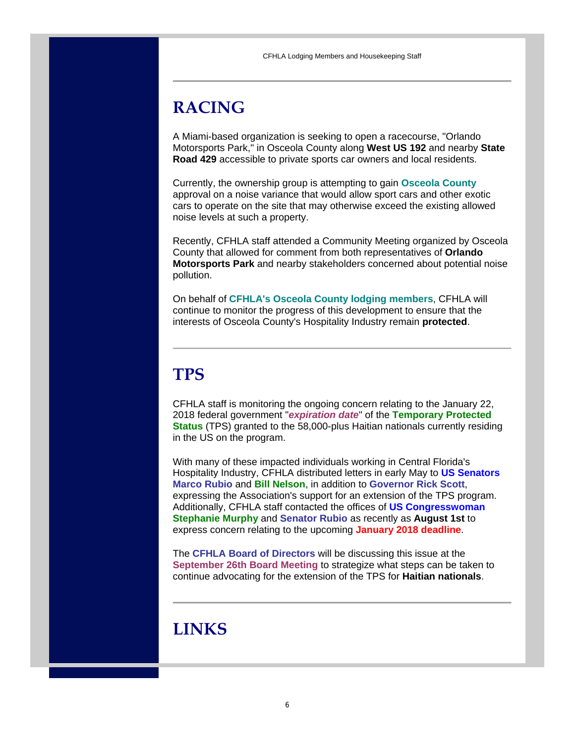# **RACING**

A Miami-based organization is seeking to open a racecourse, "Orlando Motorsports Park," in Osceola County along **West US 192** and nearby **State Road 429** accessible to private sports car owners and local residents.

Currently, the ownership group is attempting to gain **Osceola County** approval on a noise variance that would allow sport cars and other exotic cars to operate on the site that may otherwise exceed the existing allowed noise levels at such a property.

Recently, CFHLA staff attended a Community Meeting organized by Osceola County that allowed for comment from both representatives of **Orlando Motorsports Park** and nearby stakeholders concerned about potential noise pollution.

On behalf of **CFHLA's Osceola County lodging members**, CFHLA will continue to monitor the progress of this development to ensure that the interests of Osceola County's Hospitality Industry remain **protected**.

# **TPS**

CFHLA staff is monitoring the ongoing concern relating to the January 22, 2018 federal government "*expiration date*" of the **Temporary Protected Status** (TPS) granted to the 58,000-plus Haitian nationals currently residing in the US on the program.

With many of these impacted individuals working in Central Florida's Hospitality Industry, CFHLA distributed letters in early May to **US Senators Marco Rubio** and **Bill Nelson**, in addition to **Governor Rick Scott**, expressing the Association's support for an extension of the TPS program. Additionally, CFHLA staff contacted the offices of **US Congresswoman Stephanie Murphy** and **Senator Rubio** as recently as **August 1st** to express concern relating to the upcoming **January 2018 deadline**.

The **CFHLA Board of Directors** will be discussing this issue at the **September 26th Board Meeting** to strategize what steps can be taken to continue advocating for the extension of the TPS for **Haitian nationals**.

# **LINKS**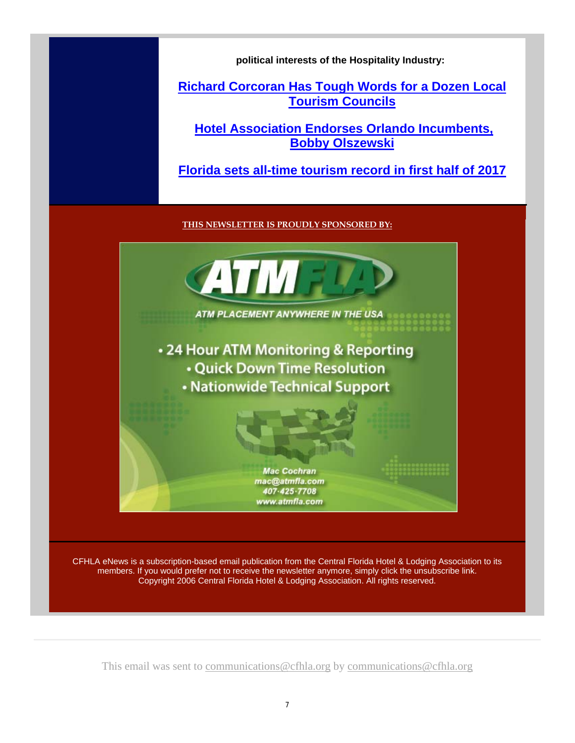**political interests of the Hospitality Industry:**

### **Richard Corcoran Has Tough Words for a Dozen Local Tourism Councils**

**Hotel Association Endorses Orlando Incumbents, Bobby Olszewski**

**Florida sets all-time tourism record in first half of 2017**

**THIS NEWSLETTER IS PROUDLY SPONSORED BY:**



CFHLA eNews is a subscription-based email publication from the Central Florida Hotel & Lodging Association to its members. If you would prefer not to receive the newsletter anymore, simply click the unsubscribe link. Copyright 2006 Central Florida Hotel & Lodging Association. All rights reserved.

This email was sent to communications@cfhla.org by communications@cfhla.org